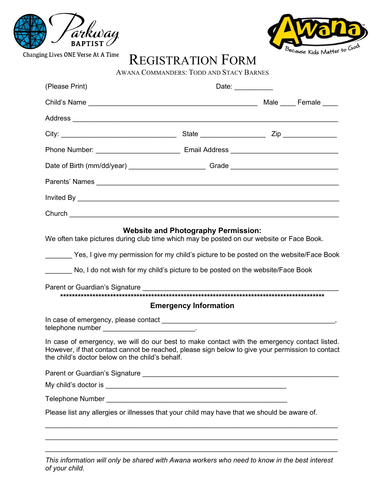



REGISTRATION FORM

| (Please Print)                                                                                                                                                                                                                                                                                                     | Date: <b>Date:</b> |  |  |  |
|--------------------------------------------------------------------------------------------------------------------------------------------------------------------------------------------------------------------------------------------------------------------------------------------------------------------|--------------------|--|--|--|
|                                                                                                                                                                                                                                                                                                                    |                    |  |  |  |
|                                                                                                                                                                                                                                                                                                                    |                    |  |  |  |
|                                                                                                                                                                                                                                                                                                                    |                    |  |  |  |
|                                                                                                                                                                                                                                                                                                                    |                    |  |  |  |
| Date of Birth (mm/dd/year) ____________________________Grade ____________________                                                                                                                                                                                                                                  |                    |  |  |  |
| Parents' Names experience and the contract of the contract of the contract of the contract of the contract of the contract of the contract of the contract of the contract of the contract of the contract of the contract of                                                                                      |                    |  |  |  |
|                                                                                                                                                                                                                                                                                                                    |                    |  |  |  |
| Church <u>the community of the community of the community of the community of the community of the community of the community of the community of the community of the community of the community of the community of the commun</u>                                                                               |                    |  |  |  |
| <b>Website and Photography Permission:</b><br>We often take pictures during club time which may be posted on our website or Face Book.<br>Yes, I give my permission for my child's picture to be posted on the website/Face Book<br>No, I do not wish for my child's picture to be posted on the website/Face Book |                    |  |  |  |
| <b>Emergency Information</b>                                                                                                                                                                                                                                                                                       |                    |  |  |  |
| telephone number _____________________________.                                                                                                                                                                                                                                                                    |                    |  |  |  |
| In case of emergency, we will do our best to make contact with the emergency contact listed.<br>However, if that contact cannot be reached, please sign below to give your permission to contact<br>the child's doctor below on the child's behalf.                                                                |                    |  |  |  |
|                                                                                                                                                                                                                                                                                                                    |                    |  |  |  |
|                                                                                                                                                                                                                                                                                                                    |                    |  |  |  |
|                                                                                                                                                                                                                                                                                                                    |                    |  |  |  |
| Please list any allergies or illnesses that your child may have that we should be aware of.                                                                                                                                                                                                                        |                    |  |  |  |
|                                                                                                                                                                                                                                                                                                                    |                    |  |  |  |

*This information will only be shared with Awana workers who need to know in the best interest of your child.*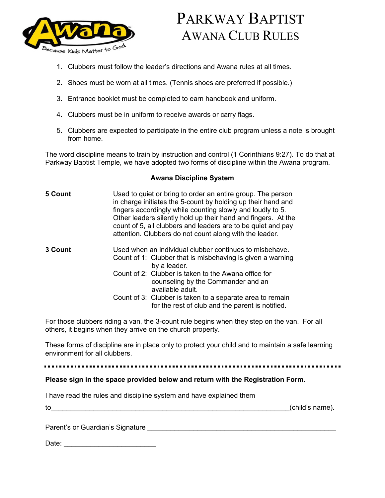

# PARKWAY BAPTIST AWANA CLUB RULES

- 1. Clubbers must follow the leader's directions and Awana rules at all times.
- 2. Shoes must be worn at all times. (Tennis shoes are preferred if possible.)
- 3. Entrance booklet must be completed to earn handbook and uniform.
- 4. Clubbers must be in uniform to receive awards or carry flags.
- 5. Clubbers are expected to participate in the entire club program unless a note is brought from home.

The word discipline means to train by instruction and control (1 Corinthians 9:27). To do that at Parkway Baptist Temple, we have adopted two forms of discipline within the Awana program.

### **Awana Discipline System**

| 5 Count | Used to quiet or bring to order an entire group. The person<br>in charge initiates the 5-count by holding up their hand and<br>fingers accordingly while counting slowly and loudly to 5.<br>Other leaders silently hold up their hand and fingers. At the<br>count of 5, all clubbers and leaders are to be quiet and pay<br>attention. Clubbers do not count along with the leader. |
|---------|---------------------------------------------------------------------------------------------------------------------------------------------------------------------------------------------------------------------------------------------------------------------------------------------------------------------------------------------------------------------------------------|
| 3 Count | Used when an individual clubber continues to misbehave.<br>Count of 1: Clubber that is misbehaving is given a warning<br>by a leader.                                                                                                                                                                                                                                                 |
|         | Count of 2: Clubber is taken to the Awana office for<br>counseling by the Commander and an<br>available adult.                                                                                                                                                                                                                                                                        |
|         | Count of 3: Clubber is taken to a separate area to remain<br>for the rest of club and the parent is notified.                                                                                                                                                                                                                                                                         |

For those clubbers riding a van, the 3-count rule begins when they step on the van. For all others, it begins when they arrive on the church property.

These forms of discipline are in place only to protect your child and to maintain a safe learning environment for all clubbers.

#### **Please sign in the space provided below and return with the Registration Form.**

| I have read the rules and discipline system and have explained them |  |  |
|---------------------------------------------------------------------|--|--|
|                                                                     |  |  |

to the contract of the contract of the contract of the contract of the contract of the contract of the contract of the contract of the contract of the contract of the contract of the contract of the contract of the contrac

Parent's or Guardian's Signature **With the Contract of Contract and Contract of Contract of Contract of Contract** 

Date: \_\_\_\_\_\_\_\_\_\_\_\_\_\_\_\_\_\_\_\_\_\_\_\_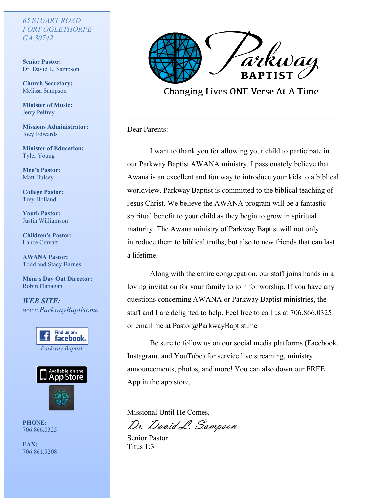# *65 STUART ROAD GA 30742 65 STUART ROAD FORT OGLETHORPE*

**Senior Pastor:** Dr. David L. Sampson

**Church Secretary:** Melissa Sampson

**Minister of Music:** Jerry Pelfrey

Missions Administrator: Joey Edwards

**Minister of Education:** Tyler Young

**Men's** Pastor: Matt Hulsey

**College Pastor:** Trey Holland

**Youth Pastor:** Justin Williamson

**Children's Pastor:** Lance Cravatt

**AWANA Pastor:** Todd and Stacy Barnes

 $\mathbf{Mom} \cdot \mathbf{s}$  Day Out Director: Robin Flanagan

*WEB SITE:* www.ParkwayBaptist.me





PHONE: **FAX:** 706.866.0325

**FAX:** 706.861.9208



**Changing Lives ONE Verse At A Time** 

Dear Parents:

I want to thank you for allowing your child to participate in our Parkway Baptist AWANA ministry. I passionately believe that Awana is an excellent and fun way to introduce your kids to a biblical worldview. Parkway Baptist is committed to the biblical teaching of Jesus Christ. We believe the AWANA program will be a fantastic spiritual benefit to your child as they begin to grow in spiritual maturity. The Awana ministry of Parkway Baptist will not only introduce them to biblical truths, but also to new friends that can last a lifetime.

Along with the entire congregation, our staff joins hands in a loving invitation for your family to join for worship. If you have any questions concerning AWANA or Parkway Baptist ministries, the staff and I are delighted to help. Feel free to call us at 706.866.0325 or email me at Pastor@ParkwayBaptist.me

Be sure to follow us on our social media platforms (Facebook, Instagram, and YouTube) for service live streaming, ministry announcements, photos, and more! You can also down our FREE App in the app store.

Missional Until He Comes,

Dr. David L. Sampson

Senior Pastor Titus 1:3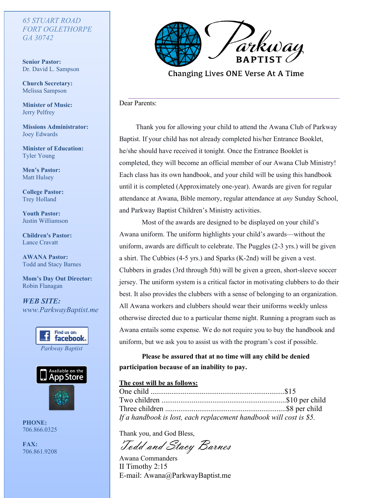# *65 STUART ROAD FORT OGLETHORPE GA 30742*

**Senior Pastor:**  Dr. David L. Sampson

**Church Secretary:** Melissa Sampson

**Minister of Music:** Jerry Pelfrey

**Missions Administrator:** Joey Edwards

**Minister of Education:** Tyler Young

**Men's Pastor:** Matt Hulsey

**College Pastor:** Trey Holland

**Youth Pastor:** Justin Williamson

**Children's Pastor:** Lance Cravatt

**AWANA Pastor:** Todd and Stacy Barnes

**Mom's Day Out Director:**  Robin Flanagan

*WEB SITE: www.ParkwayBaptist.me*





**PHONE:** 706.866.0325

**FAX:** 706.861.9208



Changing Lives ONE Verse At A Time

Dear Parents:

Thank you for allowing your child to attend the Awana Club of Parkway Baptist. If your child has not already completed his/her Entrance Booklet, he/she should have received it tonight. Once the Entrance Booklet is completed, they will become an official member of our Awana Club Ministry! Each class has its own handbook, and your child will be using this handbook until it is completed (Approximately one-year). Awards are given for regular attendance at Awana, Bible memory, regular attendance at *any* Sunday School, and Parkway Baptist Children's Ministry activities.

Most of the awards are designed to be displayed on your child's Awana uniform. The uniform highlights your child's awards—without the uniform, awards are difficult to celebrate. The Puggles (2-3 yrs.) will be given a shirt. The Cubbies (4-5 yrs.) and Sparks (K-2nd) will be given a vest. Clubbers in grades (3rd through 5th) will be given a green, short-sleeve soccer jersey. The uniform system is a critical factor in motivating clubbers to do their best. It also provides the clubbers with a sense of belonging to an organization. All Awana workers and clubbers should wear their uniforms weekly unless otherwise directed due to a particular theme night. Running a program such as Awana entails some expense. We do not require you to buy the handbook and uniform, but we ask you to assist us with the program's cost if possible.

**Please be assured that at no time will any child be denied participation because of an inability to pay.**

### **The cost will be as follows:**

| If a handbook is lost, each replacement handbook will cost is \$5. |  |
|--------------------------------------------------------------------|--|

Thank you, and God Bless,

Todd and Stacy Barnes

Awana Commanders II Timothy 2:15 E-mail: Awana@ParkwayBaptist.me